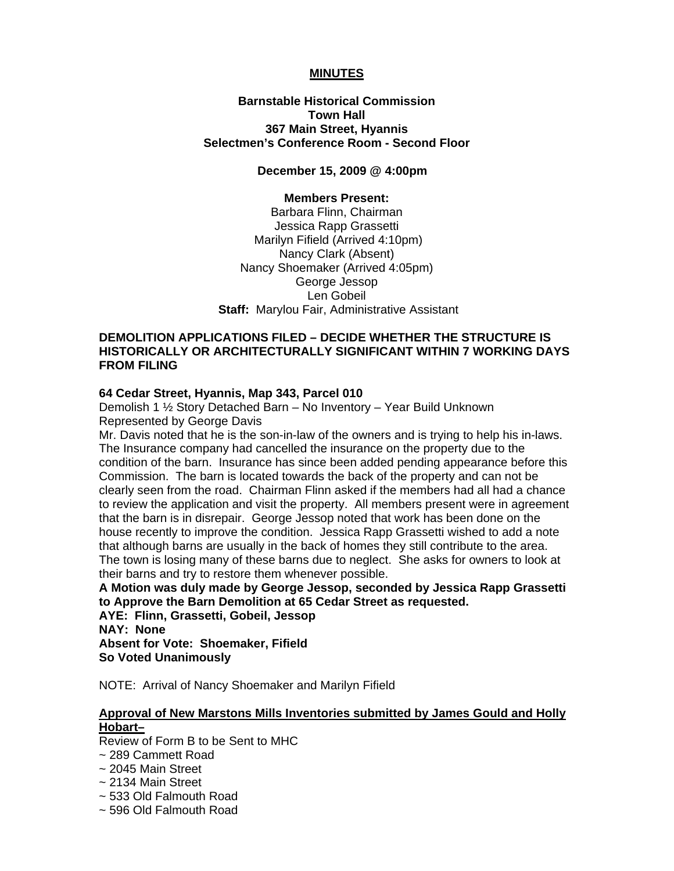## **MINUTES**

**Barnstable Historical Commission Town Hall 367 Main Street, Hyannis Selectmen's Conference Room - Second Floor** 

**December 15, 2009 @ 4:00pm** 

#### **Members Present:**

Barbara Flinn, Chairman Jessica Rapp Grassetti Marilyn Fifield (Arrived 4:10pm) Nancy Clark (Absent) Nancy Shoemaker (Arrived 4:05pm) George Jessop Len Gobeil **Staff:** Marylou Fair, Administrative Assistant

## **DEMOLITION APPLICATIONS FILED – DECIDE WHETHER THE STRUCTURE IS HISTORICALLY OR ARCHITECTURALLY SIGNIFICANT WITHIN 7 WORKING DAYS FROM FILING**

#### **64 Cedar Street, Hyannis, Map 343, Parcel 010**

Demolish 1 ½ Story Detached Barn – No Inventory – Year Build Unknown Represented by George Davis

Mr. Davis noted that he is the son-in-law of the owners and is trying to help his in-laws. The Insurance company had cancelled the insurance on the property due to the condition of the barn. Insurance has since been added pending appearance before this Commission. The barn is located towards the back of the property and can not be clearly seen from the road. Chairman Flinn asked if the members had all had a chance to review the application and visit the property. All members present were in agreement that the barn is in disrepair. George Jessop noted that work has been done on the house recently to improve the condition. Jessica Rapp Grassetti wished to add a note that although barns are usually in the back of homes they still contribute to the area. The town is losing many of these barns due to neglect. She asks for owners to look at their barns and try to restore them whenever possible.

**A Motion was duly made by George Jessop, seconded by Jessica Rapp Grassetti to Approve the Barn Demolition at 65 Cedar Street as requested. AYE: Flinn, Grassetti, Gobeil, Jessop** 

**NAY: None Absent for Vote: Shoemaker, Fifield So Voted Unanimously** 

NOTE: Arrival of Nancy Shoemaker and Marilyn Fifield

#### **Approval of New Marstons Mills Inventories submitted by James Gould and Holly Hobart–**

Review of Form B to be Sent to MHC

- ~ 289 Cammett Road
- ~ 2045 Main Street
- ~ 2134 Main Street
- ~ 533 Old Falmouth Road
- ~ 596 Old Falmouth Road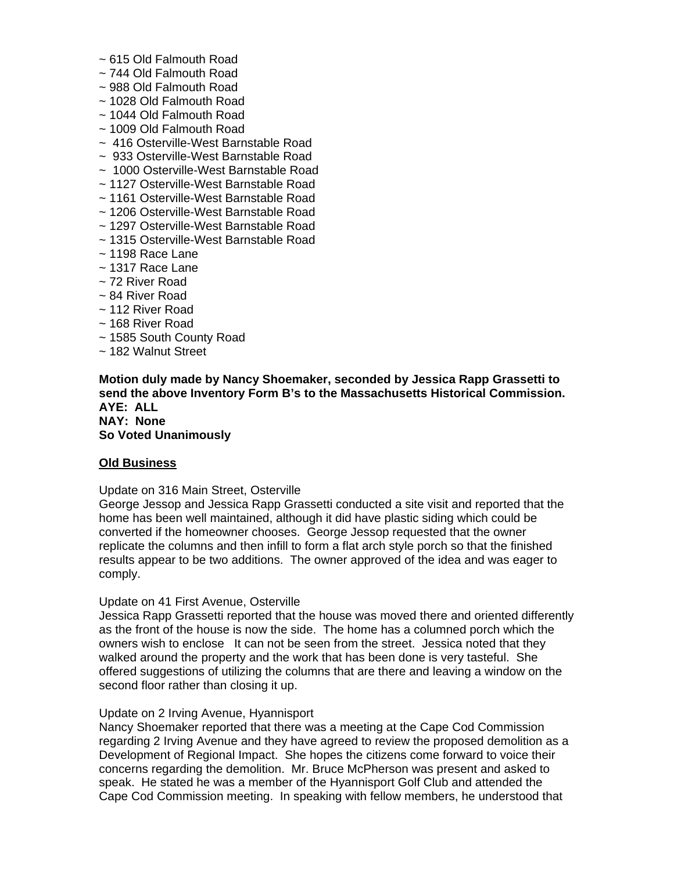- ~ 615 Old Falmouth Road
- ~ 744 Old Falmouth Road
- ~ 988 Old Falmouth Road
- ~ 1028 Old Falmouth Road
- ~ 1044 Old Falmouth Road
- ~ 1009 Old Falmouth Road
- ~ 416 Osterville-West Barnstable Road
- ~ 933 Osterville-West Barnstable Road
- ~ 1000 Osterville-West Barnstable Road
- ~ 1127 Osterville-West Barnstable Road
- ~ 1161 Osterville-West Barnstable Road
- ~ 1206 Osterville-West Barnstable Road
- ~ 1297 Osterville-West Barnstable Road
- ~ 1315 Osterville-West Barnstable Road
- $\sim$  1198 Race Lane
- $\sim$  1317 Race Lane
- ~ 72 River Road
- ~ 84 River Road
- ~ 112 River Road
- ~ 168 River Road
- ~ 1585 South County Road
- ~ 182 Walnut Street

#### **Motion duly made by Nancy Shoemaker, seconded by Jessica Rapp Grassetti to send the above Inventory Form B's to the Massachusetts Historical Commission. AYE: ALL NAY: None**

# **So Voted Unanimously**

## **Old Business**

## Update on 316 Main Street, Osterville

George Jessop and Jessica Rapp Grassetti conducted a site visit and reported that the home has been well maintained, although it did have plastic siding which could be converted if the homeowner chooses. George Jessop requested that the owner replicate the columns and then infill to form a flat arch style porch so that the finished results appear to be two additions. The owner approved of the idea and was eager to comply.

## Update on 41 First Avenue, Osterville

Jessica Rapp Grassetti reported that the house was moved there and oriented differently as the front of the house is now the side. The home has a columned porch which the owners wish to enclose It can not be seen from the street. Jessica noted that they walked around the property and the work that has been done is very tasteful. She offered suggestions of utilizing the columns that are there and leaving a window on the second floor rather than closing it up.

#### Update on 2 Irving Avenue, Hyannisport

Nancy Shoemaker reported that there was a meeting at the Cape Cod Commission regarding 2 Irving Avenue and they have agreed to review the proposed demolition as a Development of Regional Impact. She hopes the citizens come forward to voice their concerns regarding the demolition. Mr. Bruce McPherson was present and asked to speak. He stated he was a member of the Hyannisport Golf Club and attended the Cape Cod Commission meeting. In speaking with fellow members, he understood that